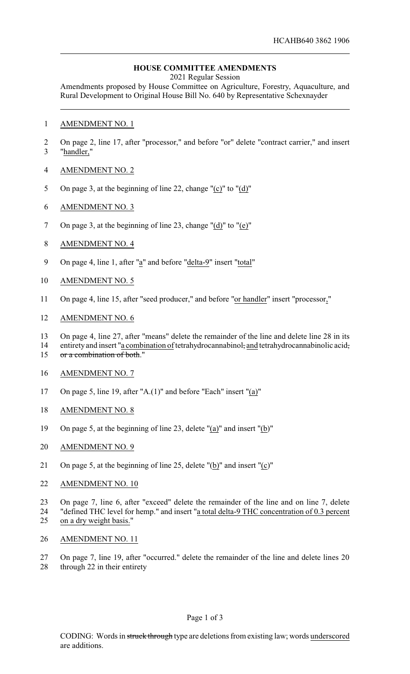## **HOUSE COMMITTEE AMENDMENTS**

2021 Regular Session

Amendments proposed by House Committee on Agriculture, Forestry, Aquaculture, and Rural Development to Original House Bill No. 640 by Representative Schexnayder

- AMENDMENT NO. 1
- On page 2, line 17, after "processor," and before "or" delete "contract carrier," and insert "handler,"
- AMENDMENT NO. 2
- On page 3, at the beginning of line 22, change "(c)" to "(d)"
- AMENDMENT NO. 3
- On page 3, at the beginning of line 23, change "(d)" to "(e)"
- AMENDMENT NO. 4
- On page 4, line 1, after "a" and before "delta-9" insert "total"
- AMENDMENT NO. 5
- On page 4, line 15, after "seed producer," and before "or handler" insert "processor,"
- AMENDMENT NO. 6
- 13 On page 4, line 27, after "means" delete the remainder of the line and delete line 28 in its<br>14 entirety and insert "a combination of tetrahydrocannabinol: and tetrahydrocannabinolic acid:
- entirety and insert "a combination of tetrahydrocannabinol, and tetrahydrocannabinolic acid, 15 or a combination of both."
- AMENDMENT NO. 7
- On page 5, line 19, after "A.(1)" and before "Each" insert "(a)"
- AMENDMENT NO. 8
- On page 5, at the beginning of line 23, delete "(a)" and insert "(b)"
- AMENDMENT NO. 9
- On page 5, at the beginning of line 25, delete "(b)" and insert "(c)"
- AMENDMENT NO. 10
- On page 7, line 6, after "exceed" delete the remainder of the line and on line 7, delete
- "defined THC level for hemp." and insert "a total delta-9 THC concentration of 0.3 percent on a dry weight basis."
- AMENDMENT NO. 11
- On page 7, line 19, after "occurred." delete the remainder of the line and delete lines 20 through 22 in their entirety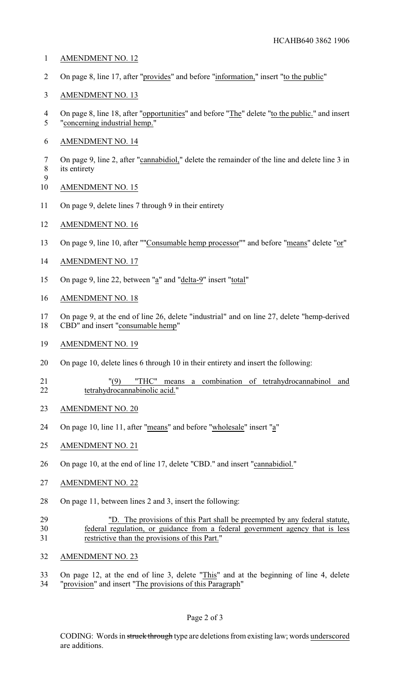- AMENDMENT NO. 12
- On page 8, line 17, after "provides" and before "information," insert "to the public"
- AMENDMENT NO. 13
- 4 On page 8, line 18, after "opportunities" and before "The" delete "to the public." and insert "concerning industrial hemp."
- AMENDMENT NO. 14
- On page 9, line 2, after "cannabidiol," delete the remainder of the line and delete line 3 in its entirety
- AMENDMENT NO. 15

- 11 On page 9, delete lines 7 through 9 in their entirety
- AMENDMENT NO. 16
- 13 On page 9, line 10, after ""Consumable hemp processor"" and before "means" delete "or"
- AMENDMENT NO. 17
- 15 On page 9, line 22, between "a" and "delta-9" insert "total"
- AMENDMENT NO. 18
- On page 9, at the end of line 26, delete "industrial" and on line 27, delete "hemp-derived CBD" and insert "consumable hemp"
- AMENDMENT NO. 19
- On page 10, delete lines 6 through 10 in their entirety and insert the following:
- "(9) "THC" means a combination of tetrahydrocannabinol and tetrahydrocannabinolic acid."
- AMENDMENT NO. 20
- 24 On page 10, line 11, after "means" and before "wholesale" insert "a"
- AMENDMENT NO. 21
- 26 On page 10, at the end of line 17, delete "CBD." and insert "cannabidiol."
- AMENDMENT NO. 22
- On page 11, between lines 2 and 3, insert the following:
- "D. The provisions of this Part shall be preempted by any federal statute, federal regulation, or guidance from a federal government agency that is less restrictive than the provisions of this Part."
- AMENDMENT NO. 23
- On page 12, at the end of line 3, delete "This" and at the beginning of line 4, delete
- "provision" and insert "The provisions of this Paragraph"

CODING: Words in struck through type are deletions from existing law; words underscored are additions.